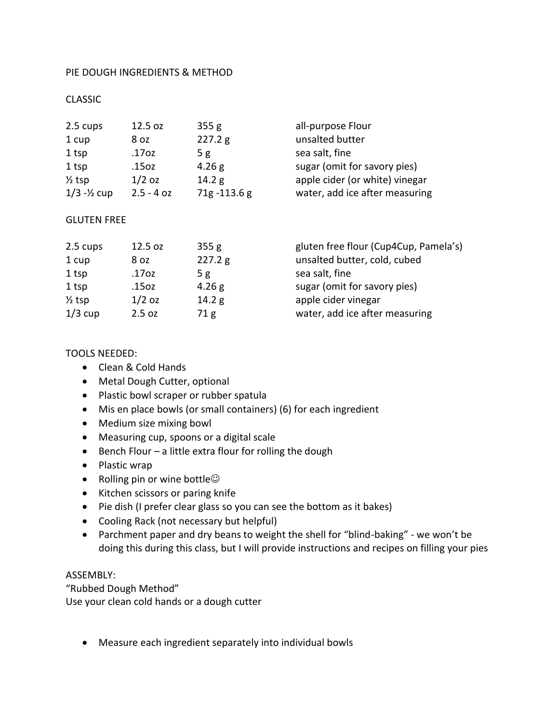## PIE DOUGH INGREDIENTS & METHOD

# CLASSIC

| 2.5 cups          | 12.5 oz      | 355g           | all-purpose Flour              |
|-------------------|--------------|----------------|--------------------------------|
| 1 cup             | 8 oz         | 227.2 g        | unsalted butter                |
| 1 tsp             | .17oz        | 5g             | sea salt, fine                 |
| 1 tsp             | .15oz        | 4.26 g         | sugar (omit for savory pies)   |
| $\frac{1}{2}$ tsp | $1/2$ oz     | 14.2 g         | apple cider (or white) vinegar |
| $1/3 - 1/2$ cup   | $2.5 - 4 oz$ | $71g - 113.6g$ | water, add ice after measuring |

### GLUTEN FREE

| 2.5 cups          | 12.5 oz  | 355g    | gluten free flour (Cup4Cup, Pamela's) |
|-------------------|----------|---------|---------------------------------------|
| 1 cup             | 8 oz     | 227.2 g | unsalted butter, cold, cubed          |
| 1 tsp             | .17oz    | 5 g     | sea salt, fine                        |
| 1 tsp             | .15oz    | 4.26 g  | sugar (omit for savory pies)          |
| $\frac{1}{2}$ tsp | $1/2$ oz | 14.2 g  | apple cider vinegar                   |
| $1/3$ cup         | 2.5 oz   | 71g     | water, add ice after measuring        |

### TOOLS NEEDED:

- Clean & Cold Hands
- Metal Dough Cutter, optional
- Plastic bowl scraper or rubber spatula
- Mis en place bowls (or small containers) (6) for each ingredient
- Medium size mixing bowl
- Measuring cup, spoons or a digital scale
- Bench Flour a little extra flour for rolling the dough
- Plastic wrap
- Rolling pin or wine bottle $\odot$
- Kitchen scissors or paring knife
- Pie dish (I prefer clear glass so you can see the bottom as it bakes)
- Cooling Rack (not necessary but helpful)
- Parchment paper and dry beans to weight the shell for "blind-baking" we won't be doing this during this class, but I will provide instructions and recipes on filling your pies

#### ASSEMBLY:

"Rubbed Dough Method" Use your clean cold hands or a dough cutter

Measure each ingredient separately into individual bowls